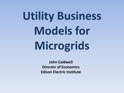# **[U](http://www.google.com/url?sa=i&rct=j&q=&esrc=s&frm=1&source=images&cd=&cad=rja&docid=SUnB4yKez7ZkgM&tbnid=huUZ1VREk1NZJM:&ved=0CAUQjRw&url=http://cutcaster.com/vector/901547373-Viking-Siege/&ei=gSPMUvLFIM6FrAe3-IDIBQ&bvm=bv.58187178,d.bmk&psig=AFQjCNF4o-_DcEl1yRKum7TWWvaOgEnSSg&ust=1389196535426360)tility Business Models for Microgrids**

**John Caldwell Director of Economics Edison Electric Institute**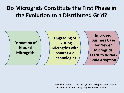### **Do Microgrids Constitute the First Phase in the Evolution to a Distributed Grid?**



Based on "Utility 2.0 and the Dynamic Microgrid", Mani Vadari and Gary Stokes, *Fortnightly Magazine*, November 2013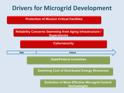### **Drivers for Microgrid Development**

**Protection of Mission Critical Facilities**

#### **Reliability Concerns Stemming from Aging Infrastructure / Superstorms**



**Declining Cost of Distributed Energy Resources**

**Evolution of More Effective Microgrid Control Technologies**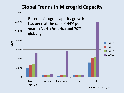### **Global Trends in Microgrid Capacity**



Source Data: Navigant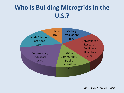### **Who Is Building Microgrids in the U.S.?**



Source Data: Navigant Research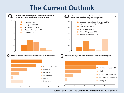### **The Current Outlook**



Source: Utility Dive: "The Utility View of Microgrids", 2014 Survey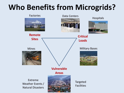### **Who Benefits from Microgrids?**





**Remote** 

**Sites**

Mines

Factories Data Centers Hospitals





Extreme Weather Events / Natural Disasters



**Vulnerable** 

Targeted Facilities

**Critical** 

**Loads**

Military Bases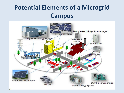### **Potential Elements of a Microgrid Campus**

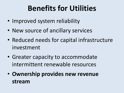## **Benefits for Utilities**

- Improved system reliability
- New source of ancillary services
- Reduced needs for capital infrastructure investment
- Greater capacity to accommodate intermittent renewable resources
- **Ownership provides new revenue stream**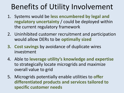### Benefits of Utility Involvement

- 1. Systems would be **less encumbered by legal and regulatory uncertainty** / could be deployed within the current regulatory framework
- 2. Uninhibited customer recruitment and participation would allow DERs to be **optimally sized**
- **3. Cost savings** by avoidance of duplicate wires investment
- 4. Able to **leverage utility's knowledge and expertise** to strategically locate microgrids and maximize overall value to grid
- 5. Microgrids potentially enable utilities to **offer differentiated products and services tailored to specific customer needs**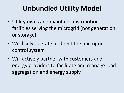### **Unbundled Utility Model**

- Utility owns and maintains distribution facilities serving the microgrid (not generation or storage)
- Will likely operate or direct the microgrid control system
- Will actively partner with customers and energy providers to facilitate and manage load aggregation and energy supply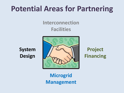### **Potential Areas for Partnering**

### **Interconnection Facilities**

**System Design**



**Project Financing**

**Microgrid Management**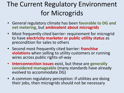### The Current Regulatory Environment for Microgrids

- General regulatory climate has been **favorable to DG and net metering**, but **ambivalent about microgrids**
- Most frequently cited barrier: requirement for microgrid to have **electricity marketer or public utility status** as precondition for sales to others
- Second most frequently cited barrier: **franchise violations** when selling to utility customers or running wires across public rights-of-way
- **Interconnection issues** exist, but these are **generally considered manageable** (many standards have already evolved to accommodate DG)
- A common regulatory perception: if utilities are doing their jobs, then microgrids should not be necessary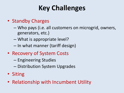### **Key Challenges**

- Standby Charges
	- Who pays (i.e. all customers on microgrid, owners, generators, etc.)
	- What is appropriate level?
	- In what manner (tariff design)
- Recovery of System Costs
	- Engineering Studies
	- Distribution System Upgrades
- Siting
- Relationship with Incumbent Utility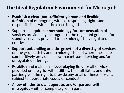### **The Ideal Regulatory Environment for Microgrids**

- **Establish a clear (but sufficiently broad and flexible) definition of microgrids**, with corresponding rights and responsibilities within the electrical grid
- Support an **equitable methodology for compensation of services** provided by microgrids to the regulated grid, and for standby-services provided to the microgrids by regulated entities
- **Support unbundling and the growth of a diversity of services** on the grid, both by and to microgrids, and where these are competitively provided, allow market-based pricing and/or unregulated offerings
- Establish and maintain a **level playing field** for all services provided on the grid, with utilities, their affiliates, and third parties given the right to provide any or all of these services, subject to appropriate codes-of-conduct
- **Allow utilities to own, operate, and/or partner with microgrids** – either completely, or in part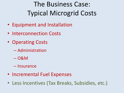### The Business Case: Typical Microgrid Costs

- Equipment and Installation
- Interconnection Costs
- Operating Costs
	- Administration
	- O&M
	- Insurance
- Incremental Fuel Expenses
- Less Incentives (Tax Breaks, Subsidies, etc.)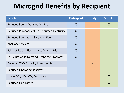### **Microgrid Benefits by Recipient**

| <b>Benefit</b>                                                      | <b>Participant</b>      | <b>Utility</b> | <b>Society</b>   |
|---------------------------------------------------------------------|-------------------------|----------------|------------------|
| <b>Reduced Power Outages On-Site</b>                                | $\mathsf{X}$            |                | X                |
| Reduced Purchases of Grid-Sourced Electricity                       | $\overline{\mathsf{X}}$ |                |                  |
| <b>Reduced Purchases of Heating Fuel</b>                            | $\mathsf{X}$            |                |                  |
| <b>Ancillary Services</b>                                           | $\sf X$                 |                |                  |
| Sales of Excess Electricity to Macro-Grid                           | $\mathsf{X}$            |                |                  |
| Participation in Demand-Response Programs                           | $\mathsf{X}$            |                |                  |
| Deferred T&D Capacity Investments                                   |                         | $\mathsf{X}$   |                  |
| <b>Reduced Operating Reserves</b>                                   |                         | $\mathsf{X}$   |                  |
| Lower SO <sub>x</sub> , NO <sub>x</sub> , CO <sub>2</sub> Emissions |                         |                | $\boldsymbol{X}$ |
| <b>Reduced Line Losses</b>                                          |                         |                | $\boldsymbol{X}$ |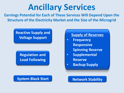## **Ancillary Services**

**Earnings Potential for Each of These Services Will Depend Upon the Structure of the Electricity Market and the Size of the Microgrid**

#### **Reactive Supply and Voltage Support Supply of Reserves**

#### **Regulation and Load Following**

#### **System Black Start | Network Stability**

- **Frequency Responsive** 
	- **Spinning Reserve**
- **Supplemental Reserve**
- **Backup Supply**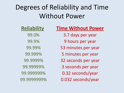### Degrees of Reliability and Time Without Power

#### **Reliability**

99.0% 99.9% 99.99% 99.999% 99.9999% 99.99999% 99.999999% 99.9999999%

#### **Time Without Power**

3.7 days per year 9 hours per year 53 minutes per year 5 minutes per year 32 seconds per year 3 seconds per year 0.32 seconds/year 0.032 seconds/year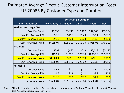#### Estimated Average Electric Customer Interruption Costs US 2008\$ By Customer Type and Duration

|                                 | <b>Interruption Duration</b> |            |              |           |            |  |  |  |  |
|---------------------------------|------------------------------|------------|--------------|-----------|------------|--|--|--|--|
| <b>Interruption Cost</b>        | Momentary                    | 30 minutes | 1 hour       | 4 hours   | 8 hours    |  |  |  |  |
| <b>Medium and Large C&amp;I</b> |                              |            |              |           |            |  |  |  |  |
| Cost Per Event                  | \$6,558                      | \$9,217    | \$12,487     | \$42,506  | \$69,284   |  |  |  |  |
| Cost Per Average kW             | \$8.0                        | \$11.3     | \$15.3       | \$52.1    | \$85.0     |  |  |  |  |
| <b>Cost Per Un-served kWh</b>   | \$96.5                       | \$22.6     | \$15.3       | \$13.0    | \$10.6     |  |  |  |  |
| Cost Per Annual kWh             | $9.18E - 04$                 | $1.29E-03$ | 1.75E-03     | 5.95E-03  | $9.70E-03$ |  |  |  |  |
| <b>Small C&amp;I</b>            |                              |            |              |           |            |  |  |  |  |
| Cost Per Event                  | \$293                        | \$435      | \$619        | \$2,623   | \$5,195    |  |  |  |  |
| Cost Per Average kW             | \$133.7                      | \$198.1    | \$282.0      | \$1,195.8 | \$2,368.6  |  |  |  |  |
| <b>Cost Per Un-served kWh</b>   | \$1,604.1                    | \$396.3    | \$282.0      | \$298.9   | \$296.1    |  |  |  |  |
| Cost Per Annual kWh             | 1.53E-02                     | $2.26E-02$ | 3.22E-02     | \$0.137   | \$0.270    |  |  |  |  |
| Residential                     |                              |            |              |           |            |  |  |  |  |
| Cost Per Event                  | \$2.1                        | \$2.7      | \$3.3        | \$7.4     | \$10.6     |  |  |  |  |
| Cost Per Average kW             | \$1.4                        | \$1.8      | \$2.2        | \$4.9     | \$6.9      |  |  |  |  |
| <b>Cost Per Un-served kWh</b>   | \$16.8                       | \$3.5      | \$2.2        | \$1.2     | \$0.9      |  |  |  |  |
| Cost Per Annual kWh             | $1.60E - 04$                 | $2.01E-04$ | $2.46E - 04$ | 5.58E-04  | 7.92E-04   |  |  |  |  |

Source: "How to Estimate the Value of Service Reliability Improvements," Sullivan, Michael J., Matthew G. Mercurio, Josh A. Schellenberg, and Joseph H. Eto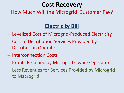### **Cost Recovery**

How Much Will the Microgrid Customer Pay?

### **Electricity Bill**

- Levelized Cost of Microgrid-Produced Electricity
- Cost of Distribution Services Provided by Distribution Operator
- Interconnection Costs
- Profits Retained by Microgrid Owner/Operator
- Less Revenues for Services Provided by Microgrid to Macrogrid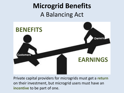### **Microgrid Benefits** A Balancing Act



Private capital providers for microgrids must get a **return** on their investment, but microgrid users must have an **incentive** to be part of one.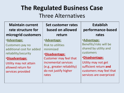### **The Regulated Business Case** Three Alternatives

**Maintain current rate structure for microgrid customers**

#### •**Advantage:**

Customers pay no additional cost for added reliability/security

#### •**Disadvantage:**

Utility may not attain allowed return for services provided

**Set customer rates based on allowed return**

#### •**Advantage:**

Risk to utilities minimized

•**Disadvantage:** Customer may feel that incremental services (e.g., greater reliability) do not justify higher rates

**Establish performance-based rates**

#### •**Advantage:**

Benefits/risks will be shared by utility and customers

#### •**Disadvantage:**

Utility may not get sufficient return **and** customers may feel that services are overpriced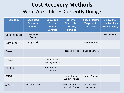### **Cost Recovery Methods** What Are Utilities Currently Doing?

| <b>Company</b> | <b>Socialized</b><br><b>Costs and</b><br><b>Benefits</b> | <b>Socialized</b><br>Costs /<br><b>Targeted</b><br><b>Benefits</b> | <b>External</b><br><b>Grants, Tax-</b><br>Breaks,<br><b>Funding</b> | <b>Special Tariffs</b><br><b>Targeted to</b><br><b>Microgrid</b> | <b>Below-the-</b><br><b>Line Earnings</b><br>from 3 <sup>rd</sup> Party |
|----------------|----------------------------------------------------------|--------------------------------------------------------------------|---------------------------------------------------------------------|------------------------------------------------------------------|-------------------------------------------------------------------------|
| Constellation  | Company-<br>Owned                                        |                                                                    |                                                                     |                                                                  | <b>Bloom Energy</b>                                                     |
| Dominion       | Kitty Hawk                                               |                                                                    |                                                                     | <b>Military Bases</b>                                            |                                                                         |
| <b>Duke</b>    |                                                          |                                                                    | <b>Research Grants</b>                                              | <b>Back-up Service</b>                                           |                                                                         |
| Oncor          |                                                          | Benefits to<br>Microgrid Only                                      |                                                                     |                                                                  |                                                                         |
| <b>PEPCO</b>   |                                                          | <b>Benefits to DG</b><br><b>Owners</b>                             |                                                                     |                                                                  |                                                                         |
| PG&E           |                                                          |                                                                    | DoD / DoE for<br><b>Current Projects</b>                            | <b>Future Projects</b>                                           |                                                                         |
| SDG&E          | <b>Residual Costs</b>                                    |                                                                    | Most Covered by<br>Awards/Grants                                    | <b>Future Projects</b><br>(Some Costs)                           |                                                                         |